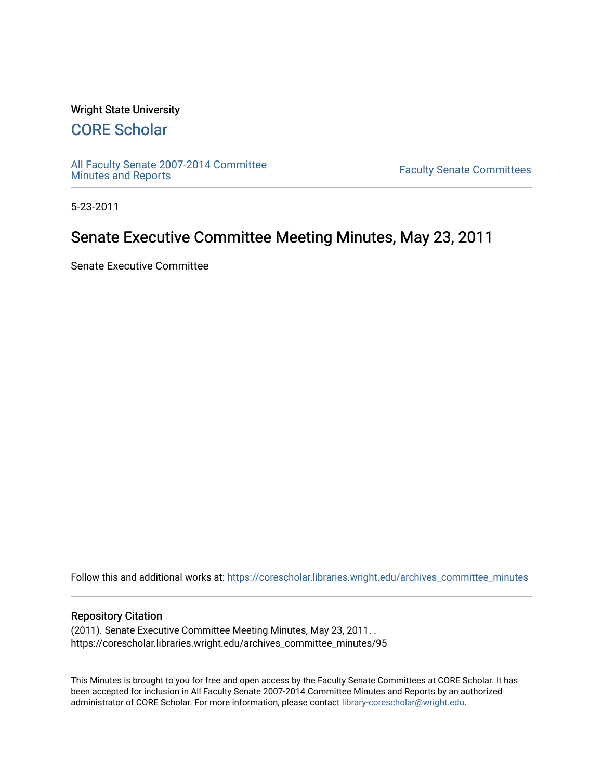#### Wright State University

# [CORE Scholar](https://corescholar.libraries.wright.edu/)

[All Faculty Senate 2007-2014 Committee](https://corescholar.libraries.wright.edu/archives_committee_minutes)

**Faculty Senate Committees** 

5-23-2011

## Senate Executive Committee Meeting Minutes, May 23, 2011

Senate Executive Committee

Follow this and additional works at: [https://corescholar.libraries.wright.edu/archives\\_committee\\_minutes](https://corescholar.libraries.wright.edu/archives_committee_minutes?utm_source=corescholar.libraries.wright.edu%2Farchives_committee_minutes%2F95&utm_medium=PDF&utm_campaign=PDFCoverPages) 

#### Repository Citation

(2011). Senate Executive Committee Meeting Minutes, May 23, 2011. . https://corescholar.libraries.wright.edu/archives\_committee\_minutes/95

This Minutes is brought to you for free and open access by the Faculty Senate Committees at CORE Scholar. It has been accepted for inclusion in All Faculty Senate 2007-2014 Committee Minutes and Reports by an authorized administrator of CORE Scholar. For more information, please contact [library-corescholar@wright.edu.](mailto:library-corescholar@wright.edu)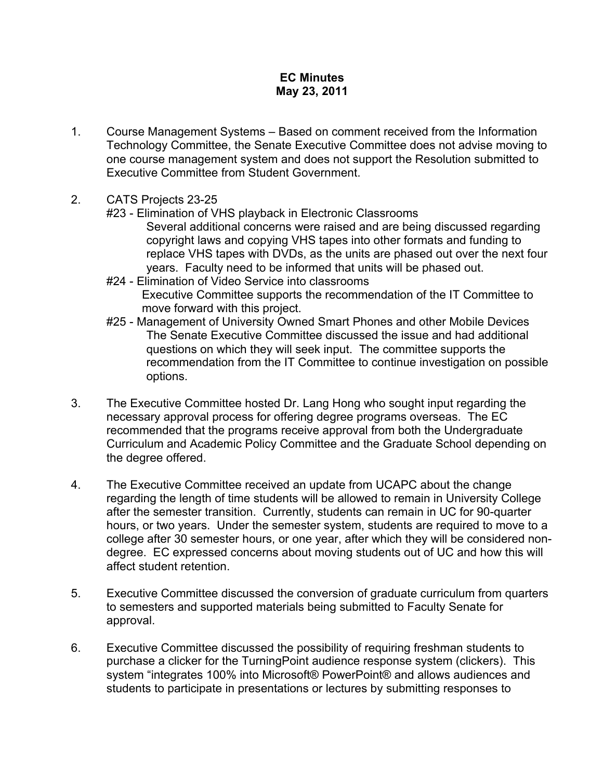### **EC Minutes May 23, 2011**

- 1. Course Management Systems Based on comment received from the Information Technology Committee, the Senate Executive Committee does not advise moving to one course management system and does not support the Resolution submitted to Executive Committee from Student Government.
- 2. CATS Projects 23-25
	- #23 Elimination of VHS playback in Electronic Classrooms
		- Several additional concerns were raised and are being discussed regarding copyright laws and copying VHS tapes into other formats and funding to replace VHS tapes with DVDs, as the units are phased out over the next four years. Faculty need to be informed that units will be phased out.
	- #24 Elimination of Video Service into classrooms Executive Committee supports the recommendation of the IT Committee to move forward with this project.
	- #25 Management of University Owned Smart Phones and other Mobile Devices The Senate Executive Committee discussed the issue and had additional questions on which they will seek input. The committee supports the recommendation from the IT Committee to continue investigation on possible options.
- 3. The Executive Committee hosted Dr. Lang Hong who sought input regarding the necessary approval process for offering degree programs overseas. The EC recommended that the programs receive approval from both the Undergraduate Curriculum and Academic Policy Committee and the Graduate School depending on the degree offered.
- 4. The Executive Committee received an update from UCAPC about the change regarding the length of time students will be allowed to remain in University College after the semester transition. Currently, students can remain in UC for 90-quarter hours, or two years. Under the semester system, students are required to move to a college after 30 semester hours, or one year, after which they will be considered nondegree. EC expressed concerns about moving students out of UC and how this will affect student retention.
- 5. Executive Committee discussed the conversion of graduate curriculum from quarters to semesters and supported materials being submitted to Faculty Senate for approval.
- 6. Executive Committee discussed the possibility of requiring freshman students to purchase a clicker for the TurningPoint audience response system (clickers). This system "integrates 100% into Microsoft® PowerPoint® and allows audiences and students to participate in presentations or lectures by submitting responses to